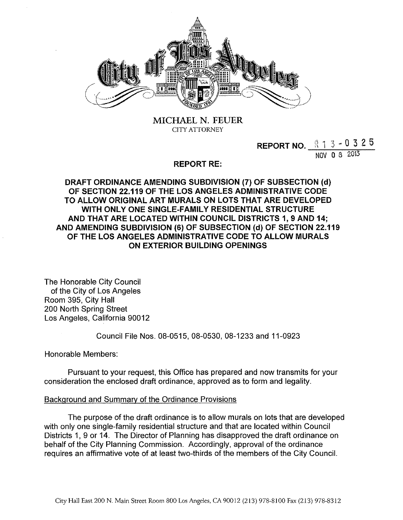

MICHAEL N. FEUER CITY ATTORNEY

> **REPORT NO.**  $\begin{array}{|c|c|c|c|c|} \hline \text{R} & 1 & 3 & -0 & 3 & 2 & 5 \\ \hline \end{array}$ NOV 0 8 2013

**REPORT RE:** 

**DRAFT ORDINANCE AMENDING SUBDIVISION (7) OF SUBSECTION (d) OF SECTION 22.119 OF THE LOS ANGELES ADMINISTRATIVE CODE TO ALLOW ORIGINAL ART MURALS ON LOTS THAT ARE DEVELOPED WITH ONLY ONE SINGLE-FAMILY RESIDENTIAL STRUCTURE AND THAT ARE LOCATED WITHIN COUNCIL DISTRICTS 1, 9 AND 14; AND AMENDING SUBDIVISION (6) OF SUBSECTION (d) OF SECTION 22.119 OF THE LOS ANGELES ADMINISTRATIVE CODE TO ALLOW MURALS ON EXTERIOR BUILDING OPENINGS** 

The Honorable City Council of the City of Los Angeles Room 395, City Hall 200 North Spring Street Los Angeles, California 90012

Council File Nos. 08-0515,08-0530,08-1233 and 11-0923

Honorable Members:

Pursuant to your request, this Office has prepared and now transmits for your consideration the enclosed draft ordinance, approved as to form and legality.

### Background and Summary of the Ordinance Provisions

The purpose of the draft ordinance is to allow murals on lots that are developed with only one single-family residential structure and that are located within Council Districts 1, 9 or 14. The Director of Planning has disapproved the draft ordinance on behalf of the City Planning Commission. Accordingly, approval of the ordinance requires an affirmative vote of at least two-thirds of the members of the City Council.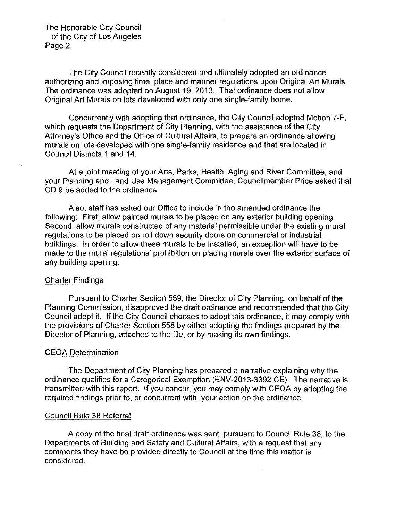The Honorable City Council of the City of Los Angeles Page 2

The City Council recently considered and ultimately adopted an ordinance authorizing and imposing time, place and manner regulations upon Original Art Murals. The ordinance was adopted on August 19, 2013. That ordinance does not allow Original Art Murals on lots developed with only one single-family home.

Concurrently with adopting that ordinance, the City Council adopted Motion 7-F, which requests the Department of City Planning, with the assistance of the City Attorney's Office and the Office of Cultural Affairs, to prepare an ordinance allowing murals on lots developed with one single-family residence and that are located in Council Districts 1 and 14.

At a joint meeting of your Arts, Parks, Health, Aging and River Committee, and your Planning and Land Use Management Committee, Councilmember Price asked that CD 9 be added to the ordinance.

Also, staff has asked our Office to include in the amended ordinance the following: First, allow painted murals to be placed on any exterior building opening. Second, allow murals constructed of any material permissible under the existing mural regulations to be placed on roll down security doors on commercial or industrial buildings. In order to allow these murals to be installed, an exception will have to be made to the mural regulations' prohibition on placing murals over the exterior surface of any building opening.

#### Charter Findings

Pursuant to Charter Section 559, the Director of City Planning, on behalf of the Planning Commission, disapproved the draft ordinance and recommended that the City Council adopt it. If the City Council chooses to adopt this ordinance, it may comply with the provisions of Charter Section 558 by either adopting the findings prepared by the Director of Planning, attached to the file, or by making its own findings.

#### CEQA Determination

The Department of City Planning has prepared a narrative explaining why the ordinance qualifies for a Categorical Exemption (ENV-2013-3392 CE). The narrative is transmitted with this report. If you concur, you may comply with CEQA by adopting the required findings prior to, or concurrent with, your action on the ordinance.

#### Council Rule 38 Referral

A copy of the final draft ordinance was sent, pursuant to Council Rule 38, to the Departments of Building and Safety and Cultural Affairs, with a request that any comments they have be provided directly to Council at the time this matter is considered.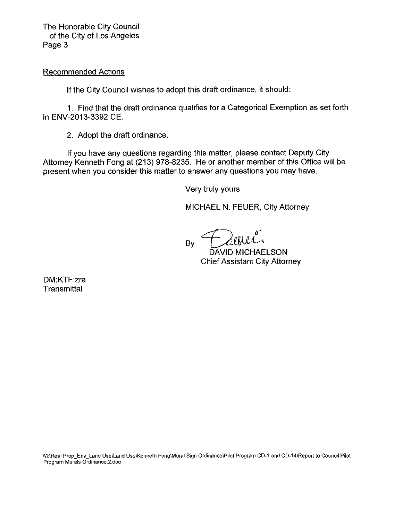The Honorable City Council of the City of Los Angeles Page 3

Recommended Actions

If the City Council wishes to adopt this draft ordinance, it should:

1. Find that the draft ordinance qualifies for a Categorical Exemption as set forth in ENV-2013-3392 CE.

2. Adopt the draft ordinance.

If you have any questions regarding this matter, please contact Deputy City Attorney Kenneth Fong at (213) 978-8235. He or another member of this Office will be present when you consider this matter to answer any questions you may have.

Very truly yours,

MICHAEL N. FEUER, City Attorney

 $\sim$ By  $\tau$  allelle DAVID MICHAELSON

Chief Assistant City Attorney

DM:KTF:zra **Transmittal** 

**M:\Real Prop\_Env\_Land Use\Land Use\Kenneth Fong\Mural Sign Ordinance\Pilot Program CD-1 and CD-14\Report to Council Pilot Program Murals Ordinance.2.doc**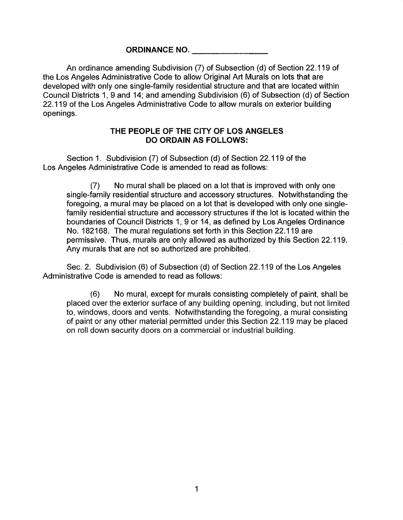# ORDINANCE NO.

An ordinance amending Subdivision (7) of Subsection (d) of Section 22.119 of the Los Angeles Administrative Code to allow Original Art Murals on lots that are developed with only one single-family residential structure and that are located within Council Districts 1, 9 and 14; and amending Subdivision (6) of Subsection (d) of Section 22.119 of the Los Angeles Administrative Code to allow murals on exterior building openings.

## **THE PEOPLE OF THE** CITY **OF LOS ANGELES DO ORDAIN AS FOLLOWS:**

Section 1. Subdivision (7) of Subsection (d) of Section 22.119 of the Los Angeles Administrative Code is amended to read as follows:

(7) No mural shall be placed on a lot that is improved with only one single-family residential structure and accessory structures. Notwithstanding the foregoing, a mural may be placed on a lot that is developed with only one singlefamily residential structure and accessory structures if the lot is located within the boundaries of Council Districts 1, 9 or 14, as defined by Los Angeles Ordinance No. 182168. The mural regulations set forth in this Section 22.119 are permissive. Thus, murals are only allowed as authorized by this Section 22.119. Any murals that are not so authorized are prohibited.

Sec. 2. Subdivision (6) of Subsection (d) of Section 22.119 of the Los Angeles Administrative Code is amended to read as follows:

(6) No mural, except for murals consisting completely of paint, shall be placed over the exterior surface of any building opening, including, but not limited to, windows, doors and vents. Notwithstanding the foregoing, a mural consisting of paint or any other material permitted under this Section 22.119 may be placed on roll down security doors on a commercial or industrial building.